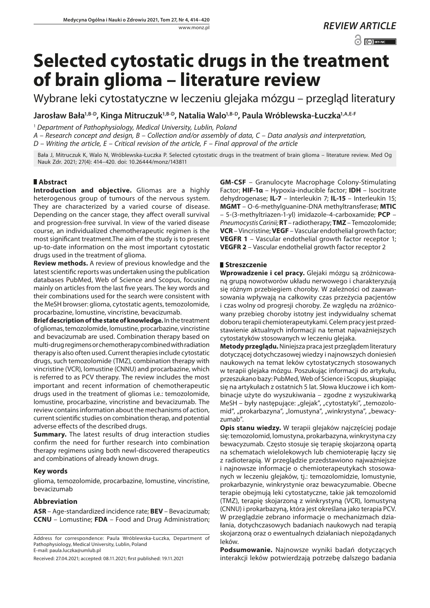# **Selected cytostatic drugs in the treatment of brain glioma – literature review**

Wybrane leki cytostatyczne w leczeniu glejaka mózgu – przegląd literatury

**Jarosław Bał[a1,B-D,](https://orcid.org/0000-0003-0362-4778) Kinga Mitruczu[k1,B-D](https://orcid.org/0000-0003-1327-3035), Natalia Wal[o1,B-D,](https://orcid.org/0000-0001-7513-1791) Paula Wróblewska-Łuczk[a1,A,E-F](https://orcid.org/0000-0002-7099-1968)**

<sup>1</sup> *Department of Pathophysiology, Medical University, Lublin, Poland*

*A – Research concept and design, B – Collection and/or assembly of data, C – Data analysis and interpretation,* 

*D – Writing the article, E – Critical revision of the article, F – Final approval of the article*

Bała J, Mitruczuk K, Walo N, Wróblewska-Łuczka P. Selected cytostatic drugs in the treatment of brain glioma – literature review. Med Og Nauk Zdr. 2021; 27(4): 414–420. doi: 10.26444/monz/143811

# **Abstract**

**Introduction and objective.** Gliomas are a highly heterogenous group of tumours of the nervous system. They are characterized by a varied course of disease. Depending on the cancer stage, they affect overall survival and progression-free survival. In view of the varied disease course, an individualized chemotherapeutic regimen is the most significant treatment.The aim of the study is to present up-to-date information on the most important cytostatic drugs used in the treatment of glioma.

**Review methods.** A review of previous knowledge and the latest scientific reports was undertaken using the publication databases PubMed, Web of Science and Scopus, focusing mainly on articles from the last five years. The key words and their combinations used for the search were consistent with the MeSH browser: glioma, cytostatic agents, temozolomide, procarbazine, lomustine, vincristine, bevacizumab.

**Brief description of the state of knowledge.** In the treatment of gliomas, temozolomide, lomustine, procarbazine, vincristine and bevacizumab are used. Combination therapy based on multi-drug regimens or chemotherapy combined with radiation therapy is also often used. Current therapies include cytostatic drugs, such temozolomide (TMZ), combination therapy with vincristine (VCR), lomustine (CNNU) and procarbazine, which is referred to as PCV therapy. The review includes the most important and recent information of chemotherapeutic drugs used in the treatment of gliomas i.e.: temozolomide, lomustine, procarbazine, vincristine and bevacizumab. The review contains information about the mechanisms of action, current scientific studies on combination therap, and potential adverse effects of the described drugs.

**Summary.** The latest results of drug interaction studies confirm the need for further research into combination therapy regimens using both newl-discovered therapeutics and combinations of already known drugs.

## **Key words**

glioma, temozolomide, procarbazine, lomustine, vincristine, bevacizumab

## **Abbreviation**

**ASR** – Age-standardized incidence rate; **BEV** – Bevacizumab; **CCNU** – Lomustine; **FDA** – Food and Drug Administration;

Address for correspondence: Paula Wróblewska-Łuczka, Department of Pathophysiology, Medical University, Lublin, Poland E-mail: paula.luczka@umlub.pl

Received: 27.04.2021; accepted: 08.11.2021; first published: 19.11.2021

**GM-CSF** – Granulocyte Macrophage Colony-Stimulating Factor; **HIF-1α** – Hypoxia-inducible factor; **IDH** – Isocitrate dehydrogenase; **IL-7** – Interleukin 7; **IL-15** – Interleukin 15; **MGMT** – O-6-methylguanine-DNA methyltransferase; **MTIC** – 5-(3-methyltriazen-1-yl) imidazole-4-carboxamide; **PCP** – *Pneumocystis Carinii;* **RT** – radiotherapy; **TMZ** – Temozolomide; **VCR** – Vincristine; **VEGF** – Vascular endothelial growth factor; **VEGFR 1** – Vascular endothelial growth factor receptor 1; **VEGFR 2** – Vascular endothelial growth factor receptor 2

## **Streszczenie**

**Wprowadzenie i cel pracy.** Glejaki mózgu są zróżnicowaną grupą nowotworów układu nerwowego i charakteryzują się różnym przebiegiem choroby. W zależności od zaawansowania wpływają na całkowity czas przeżycia pacjentów i czas wolny od progresji choroby. Ze względu na zróżnicowany przebieg choroby istotny jest indywidualny schemat doboru terapii chemioterapeutykami. Celem pracy jest przedstawienie aktualnych informacji na temat najważniejszych cytostatyków stosowanych w leczeniu glejaka.

**Metody przeglądu.** Niniejsza praca jest przeglądem literatury dotyczącej dotychczasowej wiedzy i najnowszych doniesień naukowych na temat leków cytostatycznych stosowanych w terapii glejaka mózgu. Poszukując informacji do artykułu, przeszukano bazy: PubMed, Web of Science i Scopus, skupiając się na artykułach z ostatnich 5 lat. Słowa kluczowe i ich kombinacje użyte do wyszukiwania – zgodne z wyszukiwarką MeSH – były następujące: "glejak", "cytostatyki", "temozolomid", "prokarbazyna", "lomustyna", "winkrystyna", "bewacyzumab".

**Opis stanu wiedzy.** W terapii glejaków najczęściej podaje się: temozolomid, lomustyna, prokarbazyna, winkrystyna czy bewacyzumab. Często stosuje się terapię skojarzoną opartą na schematach wielolekowych lub chemioterapię łączy się z radioterapią. W przeglądzie przedstawiono najważniejsze i najnowsze informacje o chemioterapeutykach stosowanych w leczeniu glejaków, tj.: temozolomidzie, lomustynie, prokarbazynie, winkrystynie oraz bewacyzumabie. Obecne terapie obejmują leki cytostatyczne, takie jak temozolomid (TMZ), terapię skojarzoną z winkrystyną (VCR), lomustyną (CNNU) i prokarbazyną, która jest określana jako terapia PCV. W przeglądzie zebrano informacje o mechanizmach działania, dotychczasowych badaniach naukowych nad terapią skojarzoną oraz o ewentualnych działaniach niepożądanych leków.

**Podsumowanie.** Najnowsze wyniki badań dotyczących interakcji leków potwierdzają potrzebę dalszego badania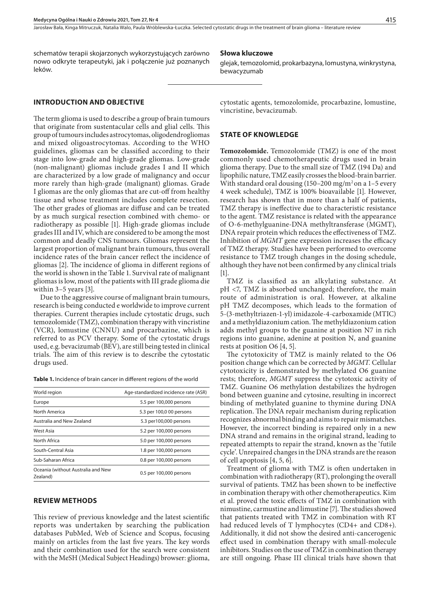Jarosław Bała, Kinga Mitruczuk, Natalia Walo, Paula Wróblewska-Łuczka. Selected cytostatic drugs in the treatment of brain glioma – literature review

schematów terapii skojarzonych wykorzystujących zarówno nowo odkryte terapeutyki, jak i połączenie już poznanych leków.

#### **Słowa kluczowe**

glejak, temozolomid, prokarbazyna, lomustyna, winkrystyna, bewacyzumab

## **INTRODUCTION AND OBJECTIVE**

The term glioma is used to describe a group of brain tumours that originate from sustentacular cells and glial cells. This group of tumours includes astrocytomas, oligodendrogliomas and mixed oligoastrocytomas. According to the WHO guidelines, gliomas can be classified according to their stage into low-grade and high-grade gliomas. Low-grade (non-malignant) gliomas include grades I and II which are characterized by a low grade of malignancy and occur more rarely than high-grade (malignant) gliomas. Grade I gliomas are the only gliomas that are cut-off from healthy tissue and whose treatment includes complete resection. The other grades of gliomas are diffuse and can be treated by as much surgical resection combined with chemo- or radiotherapy as possible [1]. High-grade gliomas include grades III and IV, which are considered to be among the most common and deadly CNS tumours. Gliomas represent the largest proportion of malignant brain tumours, thus overall incidence rates of the brain cancer reflect the incidence of gliomas [2]. The incidence of glioma in different regions of the world is shown in the Table 1. Survival rate of malignant gliomas is low, most of the patients with III grade glioma die within 3–5 years [3].

Due to the aggressive course of malignant brain tumours, research is being conducted e worldwide to improve current therapies. Current therapies include cytostatic drugs, such temozolomide (TMZ), combination therapy with vincristine (VCR), lomustine (CNNU) and procarbazine, which is referred to as PCV therapy. Some of the cytostatic drugs used, e.g. bevacizumab (BEV), are still being tested in clinical trials. The aim of this review is to describe the cytostatic drugs used.

**Table 1.** Incidence of brain cancer in different regions of the world

| World region                                   | Age-standardized incidence rate (ASR) |
|------------------------------------------------|---------------------------------------|
| Europe                                         | 5.5 per 100,000 persons               |
| North America                                  | 5.3 per 100,0 00 persons              |
| Australia and New Zealand                      | 5.3 per100,000 persons                |
| West Asia                                      | 5.2 per 100,000 persons               |
| North Africa                                   | 5.0 per 100,000 persons               |
| South-Central Asia                             | 1.8 per 100,000 persons               |
| Sub-Saharan Africa                             | 0.8 per 100,000 persons               |
| Oceania (without Australia and New<br>Zealand) | 0.5 per 100,000 persons               |
|                                                |                                       |

### **REVIEW METHODS**

This review of previous knowledge and the latest scientific reports was undertaken by searching the publication databases PubMed, Web of Science and Scopus, focusing mainly on articles from the last five years. The key words and their combination used for the search were consistent with the MeSH (Medical Subject Headings) browser: glioma,

cytostatic agents, temozolomide, procarbazine, lomustine, vincristine, bevacizumab.

## **STATE OF KNOWLEDGE**

**Temozolomide.** Temozolomide (TMZ) is one of the most commonly used chemotherapeutic drugs used in brain glioma therapy. Due to the small size of TMZ (194 Da) and lipophilic nature, TMZ easily crosses the blood-brain barrier. With standard oral dousing  $(150-200 \text{ mg/m}^2)$  on a 1-5 every 4 week schedule), TMZ is 100% bioavailable [1]. However, research has shown that in more than a half of patients, TMZ therapy is ineffective due to characteristic resistance to the agent. TMZ resistance is related with the appearance of O-6-methylguanine-DNA methyltransferase (MGMT), DNA repair protein which reduces the effectiveness of TMZ. Inhibition of *MGMT* gene expression increases the efficacy of TMZ therapy. Studies have been performed to overcome resistance to TMZ trough changes in the dosing schedule, although they have not been confirmed by any clinical trials [1].

TMZ is classified as an alkylating substance. At pH <7, TMZ is absorbed unchanged; therefore, the main route of administration is oral. However, at alkaline pH TMZ decomposes, which leads to the formation of 5-(3-methyltriazen-1-yl) imidazole-4-carboxamide (MTIC) and a methyldiazonium cation. The methyldiazonium cation adds methyl groups to the guanine at position N7 in rich regions into guanine, adenine at position N, and guanine rests at position O6 [4, 5].

The cytotoxicity of TMZ is mainly related to the O6 position change which can be corrected by *MGMT.* Cellular cytotoxicity is demonstrated by methylated O6 guanine rests; therefore, *MGMT* suppress the cytotoxic activity of TMZ. Guanine O6 methylation destabilizes the hydrogen bond between guanine and cytosine, resulting in incorrect binding of methylated guanine to thymine during DNA replication. The DNA repair mechanism during replication recognizes abnormal binding and aims to repair mismatches. However, the incorrect binding is repaired only in a new DNA strand and remains in the original strand, leading to repeated attempts to repair the strand, known as the 'futile cycle'. Unrepaired changes in the DNA strands are the reason of cell apoptosis [4, 5, 6].

Treatment of glioma with TMZ is often undertaken in combination with radiotherapy (RT), prolonging the overall survival of patients. TMZ has been shown to be ineffective in combination therapy with other chemotherapeutics. Kim et al. proved the toxic effects of TMZ in combination with nimustine, carmustine and limustine [7]. The studies showed that patients treated with TMZ in combination with RT had reduced levels of T lymphocytes (CD4+ and CD8+). Additionally, it did not show the desired anti-cancerogenic effect used in combination therapy with small-molecule inhibitors. Studies on the use of TMZ in combination therapy are still ongoing. Phase III clinical trials have shown that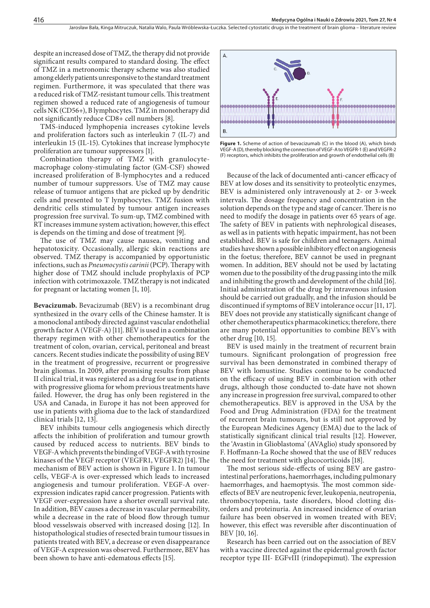despite an increased dose of TMZ, the therapy did not provide significant results compared to standard dosing. The effect of TMZ in a metronomic therapy scheme was also studied among elderly patients unresponsive to the standard treatment regimen. Furthermore, it was speculated that there was a reduced risk of TMZ-resistant tumour cells. This treatment regimen showed a reduced rate of angiogenesis of tumour cells NK (CD56+), B lymphocytes. TMZ in monotherapy did not significantly reduce CD8+ cell numbers [8].

TMS-induced lymphopenia increases cytokine levels and proliferation factors such as interleukin 7 (IL-7) and interleukin 15 (IL-15). Cytokines that increase lymphocyte proliferation are tumour suppressors [1].

Combination therapy of TMZ with granulocytemacrophage colony-stimulating factor (GM-CSF) showed increased proliferation of B-lymphocytes and a reduced number of tumour suppressors. Use of TMZ may cause release of tumuor antigens that are picked up by dendritic cells and presented to T lymphocytes. TMZ fusion with dendritic cells stimulated by tumour antigen increases progression free survival. To sum-up, TMZ combined with RT increases immune system activation; however, this effect is depends on the timing and dose of treatment [9].

The use of TMZ may cause nausea, vomiting and hepatotoxicity. Occasionally, allergic skin reactions are observed. TMZ therapy is accompanied by opportunistic infections, such as *Pneumocystis carinii* (PCP). Therapy with higher dose of TMZ should include prophylaxis of PCP infection with cotrimoxazole. TMZ therapy is not indicated for pregnant or lactating women [1, 10].

**Bevacizumab.** Bevacizumab (BEV) is a recombinant drug synthesized in the ovary cells of the Chinese hamster. It is a monoclonal antibody directed against vascular endothelial growth factor A (VEGF-A) [11]. BEV is used in a combination therapy regimen with other chemotherapeutics for the treatment of colon, ovarian, cervical, peritoneal and breast cancers. Recent studies indicate the possibility of using BEV in the treatment of progressive, recurrent or progressive brain gliomas. In 2009, after promising results from phase II clinical trial, it was registered as a drug for use in patients with progressive glioma for whom previous treatments have failed. However, the drug has only been registered in the USA and Canada, in Europe it has not been approved for use in patients with glioma due to the lack of standardized clinical trials [12, 13].

BEV inhibits tumour cells angiogenesis which directly affects the inhibition of proliferation and tumour growth caused by reduced access to nutrients. BEV binds to VEGF-A which prevents the binding of VEGF-A with tyrosine kinases of the VEGF receptor (VEGFR1, VEGFR2) [14]. The mechanism of BEV action is shown in Figure 1. In tumour cells, VEGF-A is over-expressed which leads to increased angiogenesis and tumour proliferation. VEGF-A overexpression indicates rapid cancer progression. Patients with VEGF over-expression have a shorter overall survival rate. In addition, BEV causes a decrease in vascular permeability, while a decrease in the rate of blood flow through tumur blood vesselswais observed with increased dosing [12]. In histopathological studies of resected brain tumour tissues in patients treated with BEV, a decrease or even disappearance of VEGF-A expression was observed. Furthermore, BEV has been shown to have anti-edematous effects [15].



**Figure 1.** Scheme of action of bevacizumab (C) in the blood (A), which binds VEGF-A (D), thereby blocking the connection of VEGF-A to VEGFR-1 (E) and VEGFR-2 (F) receptors, which inhibits the proliferation and growth of endothelial cells (B)

Because of the lack of documented anti-cancer efficacy of BEV at low doses and its sensitivity to proteolytic enzymes, BEV is administered only intravenously at 2- or 3-week intervals. The dosage frequency and concentration in the solution depends on the type and stage of cancer. There is no need to modify the dosage in patients over 65 years of age. The safety of BEV in patients with nephrological diseases, as well as in patients with hepatic impairment, has not been established. BEV is safe for children and teenagers. Animal studies have shown a possible inhibitory effect on angiogenesis in the foetus; therefore, BEV cannot be used in pregnant women. In addition, BEV should not be used by lactating women due to the possibility of the drug passing into the milk and inhibiting the growth and development of the child [16]. Initial administration of the drug by intravenous infusion should be carried out gradually, and the infusion should be discontinued if symptoms of BEV intolerance occur [11, 17]. BEV does not provide any statistically significant change of other chemotherapeutics pharmacokinetics; therefore, there are many potential opportunities to combine BEV's with other drug [10, 15].

BEV is used mainly in the treatment of recurrent brain tumours. Significant prolongation of progression free survival has been demonstrated in combined therapy of BEV with lomustine. Studies continue to be conducted on the efficacy of using BEV in combination with other drugs, although those conducted to-date have not shown any increase in progression free survival, compared to other chemotherapeutics. BEV is approved in the USA by the Food and Drug Administration (FDA) for the treatment of recurrent brain tumours, but is still not approved by the European Medicines Agency (EMA) due to the lack of statistically significant clinical trial results [12]. However, the 'Avastin in Glioblastoma' (AVAglio) study sponsored by F. Hoffmann-La Roche showed that the use of BEV reduces the need for treatment with glucocorticoids [18].

The most serious side-effects of using BEV are gastrointestinal perforations, haemorrhages, including pulmonary haemorrhages, and haemoptysis. The most common sideeffects of BEV are neutropenic fever, leukopenia, neutropenia, thrombocytopenia, taste disorders, blood clotting disorders and proteinuria. An increased incidence of ovarian failure has been observed in women treated with BEV; however, this effect was reversible after discontinuation of BEV [10, 16].

Research has been carried out on the association of BEV with a vaccine directed against the epidermal growth factor receptor type III- EGFvIII (rindopepimut). The expression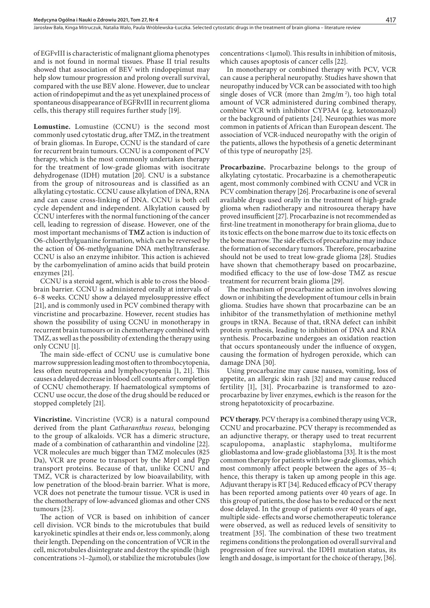of EGFvIII is characteristic of malignant glioma phenotypes and is not found in normal tissues. Phase II trial results showed that association of BEV with rindopepimut may help slow tumour progression and prolong overall survival, compared with the use BEV alone. However, due to unclear action of rindopepimut and the as yet unexplained process of spontaneous disappearance of EGFRvIII in recurrent glioma cells, this therapy still requires further study [19].

**Lomustine.** Lomustine (CCNU) is the second most commonly used cytostatic drug, after TMZ, in the treatment of brain gliomas. In Europe, CCNU is the standard of care for recurrent brain tumours. CCNU is a component of PCV therapy, which is the most commonly undertaken therapy for the treatment of low-grade gliomas with isocitrate dehydrogenase (IDH) mutation [20]. CNU is a substance from the group of nitrosoureas and is classified as an alkylating cytostatic. CCNU cause alkylation of DNA, RNA and can cause cross-linking of DNA. CCNU is both cell cycle dependent and independent. Alkylation caused by CCNU interferes with the normal functioning of the cancer cell, leading to regression of disease. However, one of the most important mechanisms of **TMZ** action is induction of O6-chloerthylguanine formation, which can be reversed by the action of O6-methylguanine DNA methyltransferase. CCNU is also an enzyme inhibitor. This action is achieved by the carbomyelination of amino acids that build protein enzymes [21].

CCNU is a steroid agent, which is able to cross the bloodbrain barrier. CCNU is administered orally at intervals of 6–8 weeks. CCNU show a delayed myelosuppressive effect [21], and is commonly used in PCV combined therapy with vincristine and procarbazine. However, recent studies has shown the possibility of using CCNU in monotherapy in recurrent brain tumours or in chemotherapy combined with TMZ, as well as the possibility of extending the therapy using only CCNU [1].

The main side-effect of CCNU use is cumulative bone marrow suppression leading most often to thrombocytopenia, less often neutropenia and lymphocytopenia [1, 21]. This causes a delayed decrease in blood cell counts after completion of CCNU chemotherapy. If haematological symptoms of CCNU use occur, the dose of the drug should be reduced or stopped completely [21].

**Vincristine.** Vincristine (VCR) is a natural compound derived from the plant *Catharanthus roseus,* belonging to the group of alkaloids. VCR has a dimeric structure, made of a combination of catharanthin and vindoline [22]. VCR molecules are much bigger than TMZ molecules (825 Da), VCR are prone to transport by the Mrp1 and Pgp transport proteins. Because of that, unlike CCNU and TMZ, VCR is characterized by low bioavailability, with low penetration of the blood-brain barrier. What is more, VCR does not penetrate the tumour tissue. VCR is used in the chemotherapy of low-advanced gliomas and other CNS tumours [23].

The action of VCR is based on inhibition of cancer cell division. VCR binds to the microtubules that build karyokinetic spindles at their ends or, less commonly, along their length. Depending on the concentration of VCR in the cell, microtubules disintegrate and destroy the spindle (high concentrations >1–2µmol), or stabilize the microtubules (low concentrations <1µmol). This results in inhibition of mitosis, which causes apoptosis of cancer cells [22].

In monotherapy or combined therapy with PCV, VCR can cause a peripheral neuropathy. Studies have shown that neuropathy induced by VCR can be associated with too high single doses of VCR (more than  $2mg/m<sup>2</sup>$ ), too high total amount of VCR administered during combined therapy, combine VCR with inhibitor CYP3A4 (e.g. ketoxonazol) or the background of patients [24]. Neuropathies was more common in patients of African than European descent. The association of VCR-induced neuropathy with the origin of the patients, allows the hypothesis of a genetic determinant of this type of neuropathy [25].

**Procarbazine.** Procarbazine belongs to the group of alkylating cytostatic. Procarbazine is a chemotherapeutic agent, most commonly combined with CCNU and VCR in PCV combination therapy [26]. Procarbazine is one of several available drugs used orally in the treatment of high-grade glioma when radiotherapy and nitrosourea therapy have proved insufficient [27]. Procarbazine is not recommended as first-line treatment in monotherapy for brain glioma, due to its toxic effects on the bone marrow due to its toxic effects on the bone marrow. The side effects of procarbazine may induce the formation of secondary tumors. Therefore, procarbazine should not be used to treat low-grade glioma [28]. Studies have shown that chemotherapy based on procarbazine, modified efficacy to the use of low-dose TMZ as rescue treatment for recurrent brain glioma [29].

The mechanism of procarbazine action involves slowing down or inhibiting the development of tumour cells in brain glioma. Studies have shown that procarbazine can be an inhibitor of the transmethylation of methionine methyl groups in tRNA. Because of that, tRNA defect can inhibit protein synthesis, leading to inhibition of DNA and RNA synthesis. Procarbazine undergoes an oxidation reaction that occurs spontaneously under the influence of oxygen, causing the formation of hydrogen peroxide, which can damage DNA [30].

Using procarbazine may cause nausea, vomiting, loss of appetite, an allergic skin rash [32] and may cause reduced fertility [1], [31]. Procarbazine is transformed to azoprocarbazine by liver enzymes, ewhich is the reason for the strong hepatotoxicity of procarbazine.

**PCV therapy.** PCV therapy is a combined therapy using VCR, CCNU and procarbazine. PCV therapy is recommended as an adjunctive therapy, or therapy used to treat recurrent scapulopoma, anaplastic staphyloma, multiforme glioblastoma and low-grade glioblastoma [33]. It is the most common therapy for patients with low-grade gliomas, which most commonly affect people between the ages of 35–4; hence, this therapy is taken up among people in this age. Adjuvant therapy is RT [34]. Reduced efficacy of PCV therapy has been reported among patients over 40 years of age. In this group of patients, the dose has to be reduced or the next dose delayed. In the group of patients over 40 years of age, multiple side- effects and worse chemotherapeutic tolerance were observed, as well as reduced levels of sensitivity to treatment [35]. The combination of these two treatment regimens conditions the prolongation od overall survival and progression of free survival. the IDH1 mutation status, its length and dosage, is important for the choice of therapy, [36].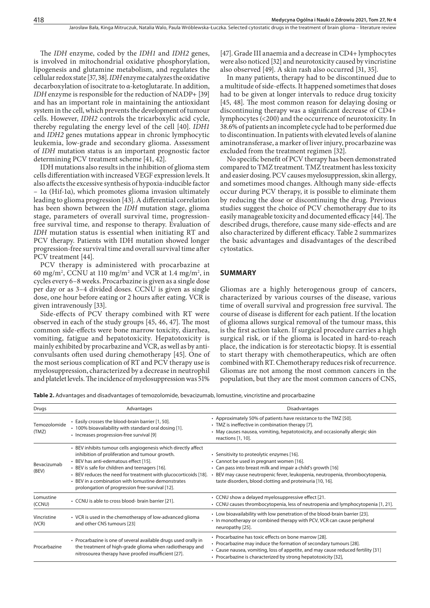The *IDH* enzyme, coded by the *IDH1* and *IDH2* genes, is involved in mitochondrial oxidative phosphorylation, lipogenesis and glutamine metabolism, and regulates the cellular redox state [37, 38]. *IDH* enzyme catalyzes the oxidative decarboxylation of isocitrate to α-ketoglutarate. In addition, *IDH* enzyme is responsible for the reduction of NADP+ [39] and has an important role in maintaining the antioxidant system in the cell, which prevents the development of tumour cells. However, *IDH2* controls the tricarboxylic acid cycle, thereby regulating the energy level of the cell [40]. *IDH1* and *IDH2* genes mutations appear in chronic lymphocytic leukemia, low-grade and secondary glioma. Assessment of *IDH* mutation status is an important prognostic factor determining PCV treatment scheme [41, 42].

IDH mutations also results in the inhibition of glioma stem cells differentiation with increased VEGF expression levels. It also affects the excessive synthesis of hypoxia-inducible factor – 1α (Hif-1α), which promotes glioma invasion ultimately leading to glioma progression [43]. A differential correlation has been shown between the *IDH* mutation stage, glioma stage, parameters of overall survival time, progressionfree survival time, and response to therapy. Evaluation of *IDH* mutation status is essential when initiating RT and PCV therapy. Patients with IDH mutation showed longer progression-free survival time and overall survival time after PCV treatment [44].

PCV therapy is administered with procarbazine at 60 mg/m<sup>2</sup>, CCNU at 110 mg/m<sup>2</sup> and VCR at 1.4 mg/m<sup>2</sup>, in cycles every 6–8 weeks. Procarbazine is given as a single dose per day or as 3–4 divided doses. CCNU is given as single dose, one hour before eating or 2 hours after eating. VCR is given intravenously [33].

Side-effects of PCV therapy combined with RT were observed in each of the study groups [45, 46, 47]. The most common side-effects were bone marrow toxicity, diarrhea, vomiting, fatigue and hepatotoxicity. Hepatotoxicity is mainly exhibited by procarbazine and VCR, as well as by anticonvulsants often used during chemotherapy [45]. One of the most serious complication of RT and PCV therapy use is myelosuppression, characterized by a decrease in neutrophil and platelet levels. The incidence of myelosuppression was 51%

[47]. Grade III anaemia and a decrease in CD4+ lymphocytes were also noticed [32] and neurotoxicity caused by vincristine also observed [49]. A skin rash also occurred [31, 35].

In many patients, therapy had to be discontinued due to a multitude of side-effects. It happened sometimes that doses had to be given at longer intervals to reduce drug toxicity [45, 48]. The most common reason for delaying dosing or discontinuing therapy was a significant decrease of CD4+ lymphocytes (<200) and the occurrence of neurotoxicity. In 38.6% of patients an incomplete cycle had to be performed due to discontinuation. In patients with elevated levels of alanine aminotransferase, a marker of liver injury, procarbazine was excluded from the treatment regimen [32].

No specific benefit of PCV therapy has been demonstrated compared to TMZ treatment. TMZ treatment has less toxicity and easier dosing. PCV causes myelosuppression, skin allergy, and sometimes mood changes. Although many side-effects occur during PCV therapy, it is possible to eliminate them by reducing the dose or discontinuing the drug. Previous studies suggest the choice of PCV chemotherapy due to its easily manageable toxicity and documented efficacy [44]. The described drugs, therefore, cause many side-effects and are also characterized by different efficacy. Table 2 summarizes the basic advantages and disadvantages of the described cytostatics.

#### **SUMMARY**

Gliomas are a highly heterogenous group of cancers, characterized by various courses of the disease, various time of overall survival and progression free survival. The course of disease is different for each patient. If the location of glioma allows surgical removal of the tumour mass, this is the first action taken. If surgical procedure carries a high surgical risk, or if the glioma is located in hard-to-reach place, the indication is for stereotactic biopsy. It is essential to start therapy with chemotherapeutics, which are often combined with RT. Chemotherapy reduces risk of recurrence. Gliomas are not among the most common cancers in the population, but they are the most common cancers of CNS,

**Table 2.** Advantages and disadvantages of temozolomide, bevacizumab, lomustine, vincristine and procarbazine

| Drugs                 | Advantages                                                                                                                                                                                                                                                                                                                                                                              | Disadvantages                                                                                                                                                                                                                                                                                        |
|-----------------------|-----------------------------------------------------------------------------------------------------------------------------------------------------------------------------------------------------------------------------------------------------------------------------------------------------------------------------------------------------------------------------------------|------------------------------------------------------------------------------------------------------------------------------------------------------------------------------------------------------------------------------------------------------------------------------------------------------|
| Temozolomide<br>(TMZ) | • Easily crosses the blood-brain barrier [1, 50].<br>• 100% bioavailability with standard oral dosing [1].<br>· Increases progression-free survival [9]                                                                                                                                                                                                                                 | • Approximately 50% of patients have resistance to the TMZ [50].<br>• TMZ is ineffective in combination therapy [7].<br>• May causes nausea, vomiting, hepatotoxicity, and occasionally allergic skin<br>reactions [1, 10].                                                                          |
| Bevacizumab<br>(BEV)  | • BEV inhibits tumour cells angiogenesis which directly affect<br>inhibition of proliferation and tumour growth.<br>• BEV has anti-edematous effect [15].<br>• BEV is safe for children and teenagers [16].<br>· BEV reduces the need for treatment with glucocorticoids [18].<br>• BEV in a combination with lomustine demonstrates<br>prolongation of progression free-survival [12]. | · Sensitivity to proteolytic enzymes [16].<br>• Cannot be used in pregnant women [16].<br>• Can pass into breast milk and impair a child's growth [16]<br>· BEV may cause neutropenic fever, leukopenia, neutropenia, thrombocytopenia,<br>taste disorders, blood clotting and proteinuria [10, 16]. |
| Lomustine<br>(CCNU)   | • CCNU is able to cross blood- brain barrier [21].                                                                                                                                                                                                                                                                                                                                      | • CCNU show a delayed myelosuppressive effect [21.<br>• CCNU causes thrombocytopenia, less of neutropenia and lymphocytopenia [1, 21].                                                                                                                                                               |
| Vincristine<br>(VCR)  | • VCR is used in the chemotherapy of low-advanced glioma<br>and other CNS tumours [23]                                                                                                                                                                                                                                                                                                  | • Low bioavailability with low penetration of the blood-brain barrier [23].<br>• In monotherapy or combined therapy with PCV, VCR can cause peripheral<br>neuropathy [25].                                                                                                                           |
| Procarbazine          | • Procarbazine is one of several available drugs used orally in<br>the treatment of high-grade glioma when radiotherapy and<br>nitrosourea therapy have proofed insufficient [27].                                                                                                                                                                                                      | · Procarbazine has toxic effects on bone marrow [28].<br>· Procarbazine may induce the formation of secondary tumours [28].<br>• Cause nausea, vomiting, loss of appetite, and may cause reduced fertility [31]<br>· Procarbazine is characterized by strong hepatotoxicity [32],                    |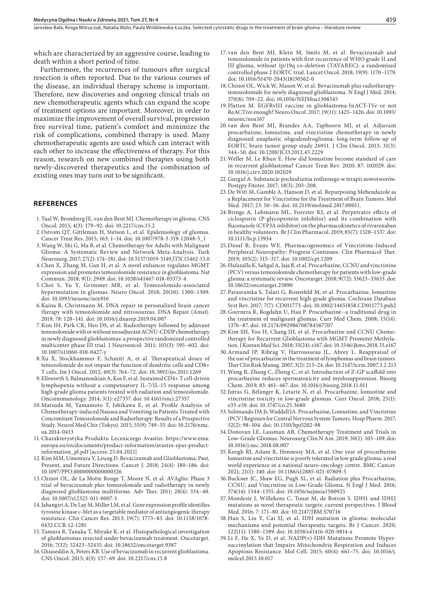which are characterized by an aggressive course, leading to death within a short period of time.

Furthermore, the recurrences of tumours after surgical resection is often reported. Due to the various courses of the disease, an individual therapy scheme is important. Therefore, new discoveries and ongoing clinical trials on new chemotherapeutic agents which can expand the scope of treatment options are important. Moreover, in order to maximize the improvement of overall survival, progression free survival time, patient's comfort and minimize the risk of complications, combined therapy is used. Many chemotherapeutic agents are used which can interact with each other to increase the effectiveness of therapy. For this reason, research on new combined therapies using both newly-discovered therapeutics and the combination of existing ones may turn out to be significant.

#### **REFERENCES**

- 1.Taal W, Bromberg JE, van den Bent MJ. Chemotherapy in glioma. CNS Oncol. 2015; 4(3): 179–92. doi: 10.2217/cns.15.2
- 2.Ostrom QT, Gittleman H, Stetson L, et al. Epidemiology of gliomas. Cancer Treat Res. 2015; 163: 1–14. doi: 10.1007/978-3-319-12048-5\_1
- 3.Wang W, Shi G, Ma B, et al. Chemotherapy for Adults with Malignant Glioma: A Systematic Review and Network Meta-Analysis. Turk Neurosurg. 2017; 27(2): 174–181. doi: 10.5137/1019-5149.JTN.15462-15.0
- 4.Chen X, Zhang M, Gan H, et al. A novel enhancer regulates MGMT expression and promotes temozolomide resistance in glioblastoma. Nat Commun. 2018; 9(1): 2949. doi: 10.1038/s41467-018-05373-4
- 5.Choi S, Yu Y, Grimmer MR, et al. Temozolomide-associated hypermutation in gliomas. Neuro Oncol. 2018; 20(10): 1300–1309. doi: 10.1093/neuonc/noy016
- 6.Kaina B, Christmann M. DNA repair in personalized brain cancer therapy with temozolomide and nitrosoureas. DNA Repair (Amst). 2019; 78: 128–141. doi: 10.1016/j.dnarep.2019.04.007
- 7.Kim IH, Park CK, Heo DS, et al. Radiotherapy followed by adjuvant temozolomide with or without neoadjuvant ACNU-CDDP chemotherapy in newly diagnosed glioblastomas: a prospective randomized controlled multicenter phase III trial. J Neurooncol. 2011; 103(3): 595–602. doi: 10.1007/s11060-010-0427-y
- 8.Xu X, Stockhammer F, Schmitt A, et al. Therapeutical doses of temozolomide do not impair the function of dendritic cells and CD8+ T cells. Int J Oncol. 2012; 40(3): 764–72. doi: 10.3892/ijo.2011.1269
- 9.Ellsworth S, Balmanoukian A, Kos F, et al. Sustained CD4+ T cell-driven lymphopenia without a compensatory IL-7/IL-15 response among high-grade glioma patients treated with radiation and temozolomide. Oncoimmunology. 2014; 3(1): e27357. doi: 10.4161/onci.27357
- 10.Matsuda M, Yamamoto T, Ishikawa E, et al. Profile Analysis of Chemotherapy-induced Nausea and Vomiting in Patients Treated with Concomitant Temozolomide and Radiotherapy: Results of a Prospective Study. Neurol Med Chir (Tokyo). 2015; 55(9): 749–55. doi: 10.2176/nmc. oa.2014-0413
- 11.Charakterystyka Produktu Leczniczego Avastin: https://www.ema. europa.eu/en/documents/product-information/avastin-epar-productinformation\_pl.pdf [access: 25.04.2021]
- 12.Kim MM, Umemura Y, Leung D. Bevacizumab and Glioblastoma: Past, Present, and Future Directions. Cancer J. 2018; 24(4): 180–186. doi: 10.1097/PPO.0000000000000326
- 13.Chinot OL, de La Motte Rouge T, Moore N, et al. AVAglio: Phase 3 trial of bevacizumab plus temozolomide and radiotherapy in newly diagnosed glioblastoma multiforme. Adv Ther. 2011; 28(4): 334–40. doi: 10.1007/s12325-011-0007-3
- 14.Jahangiri A, De Lay M, Miller LM, et al. Gene expression profile identifies tyrosine kinase c-Met as a targetable mediator of antiangiogenic therapy resistance. Clin Cancer Res. 2013; 19(7): 1773–83. doi: 10.1158/1078- 0432.CCR-12-1281
- 15.Tamura R, Tanaka T, Miyake K, et al. Histopathological investigation of glioblastomas resected under bevacizumab treatment. Oncotarget. 2016; 7(32): 52423–52435. doi: 10.18632/oncotarget.9387
- 16.Ghiaseddin A, Peters KB. Use of bevacizumab in recurrent glioblastoma. CNS Oncol. 2015; 4(3): 157–69. doi: 10.2217/cns.15.8
- 17.van den Bent MJ, Klein M, Smits M, et al. Bevacizumab and temozolomide in patients with first recurrence of WHO grade II and III glioma, without 1p/19q co-deletion (TAVAREC): a randomised controlled phase 2 EORTC trial. Lancet Oncol. 2018; 19(9): 1170–1179. doi: 10.1016/S1470-2045(18)30362-0
- 18.Chinot OL, Wick W, Mason W, et al. Bevacizumab plus radiotherapytemozolomide for newly diagnosed glioblastoma. N Engl J Med. 2014; 370(8): 709–22. doi: 10.1056/NEJMoa1308345
- 19.Platten M. EGFRvIII vaccine in glioblastoma-InACT-IVe or not ReACTive enough? Neuro Oncol. 2017; 19(11): 1425–1426. doi: 10.1093/ neuonc/nox167
- 20.van den Bent MJ, Brandes AA, Taphoorn MJ, et al. Adjuvant procarbazine, lomustine, and vincristine chemotherapy in newly diagnosed anaplastic oligodendroglioma: long-term follow-up of EORTC brain tumor group study 26951. J Clin Oncol. 2013; 31(3): 344–50. doi: 10.1200/JCO.2012.43.2229
- 21.Weller M, Le Rhun E. How did lomustine become standard of care in recurrent glioblastoma? Cancer Treat Rev. 2020; 87: 102029. doi: 10.1016/j.ctrv.2020.102029
- 22.Gurgul A. Substancje pochodzenia roślinnego w terapii nowotworów. Postępy Fitoter. 2017; 18(3): 203–208.
- 23.De Witt M, Gamble A, Hanson D, et al. Repurposing Mebendazole as a Replacement for Vincristine for the Treatment of Brain Tumors. Mol Med. 2017; 23: 50–56. doi: 10.2119/molmed.2017.00011.
- 24.Brings A, Lehmann ML, Foerster KI, et al. Perpetrator effects of ciclosporin (P-glycoprotein inhibitor) and its combination with fluconazole (CYP3A inhibitor) on the pharmacokinetics of rivaroxaban in healthy volunteers. Br J Clin Pharmacol. 2019; 85(7): 1528–1537. doi: 10.1111/bcp.13934
- 25.Diouf B, Evans WE. Pharmacogenomics of Vincristine-Induced Peripheral Neuropathy: Progress Continues. Clin Pharmacol Ther. 2019; 105(2): 315–317. doi: 10.1002/cpt.1209
- 26.Hafazalla K, Sahgal A, Jaja B, et al. Procarbazine, CCNU and vincristine (PCV) versus temozolomide chemotherapy for patients with low-grade glioma: a systematic review. Oncotarget. 2018; 9(72): 33623–33633. doi: 10.18632/oncotarget.25890
- 27.Parasramka S, Talari G, Rosenfeld M, et al. Procarbazine, lomustine and vincristine for recurrent high-grade glioma. Cochrane Database Syst Rev. 2017; 7(7): CD011773. doi: 10.1002/14651858.CD011773.pub2
- 28.Goernera R, Bogdahn U, Hau P. Procarbazine--a traditional drug in the treatment of malignant gliomas. Curr Med Chem. 2008; 15(14): 1376–87. doi: 10.2174/092986708784567707
- 29.Kim SH, Yoo H, Chang JH, et al. Procarbazine and CCNU Chemotherapy for Recurrent Glioblastoma with MGMT Promoter Methylation. J Korean Med Sci. 2018; 33(24): e167. doi: 10.3346/jkms.2018.33.e167
- 30.Armand JP, Ribrag V, Harrousseau JL, Abrey L. Reappraisal of the use of procarbazine in the treatment of lymphomas and brain tumors. Ther Clin Risk Manag. 2007; 3(2): 213–24. doi: 10.2147/tcrm.2007.3.2.213
- 31.Wang R, Zhang C, Zheng C, et al. Introduction of Z-GP scaffold into procarbazine reduces spermatoxicity and myelosuppression. Bioorg Chem. 2019; 83: 461–467. doi: 10.1016/j.bioorg.2018.11.011
- 32.Jutras G, Bélanger K, Letarte N, et al. Procarbazine, lomustine and vincristine toxicity in low-grade gliomas. Curr Oncol. 2018; 25(1): e33-e39. doi: 10.3747/co.25.3680
- 33.Solimando DA Jr, Waddell JA. Procarbazine, Lomustine, and Vincristine (PCV) Regimen for Central Nervous System Tumors. Hosp Pharm. 2017; 52(2): 98–104. doi: 10.1310/hpj5202-98
- 34.Donovan LE, Lassman AB. Chemotherapy Treatment and Trials in Low-Grade Gliomas. Neurosurg Clin N Am. 2019; 30(1): 103–109. doi: 10.1016/j.nec.2018.08.007
- 35.Keogh RJ, Aslam R, Hennessy MA, et al. One year of procarbazine lomustine and vincristine is poorly tolerated in low grade glioma: a real world experience in a national neuro-oncology centre. BMC Cancer. 2021; 21(1): 140. doi: 10.1186/s12885-021-07809-5
- 36.Buckner JC, Shaw EG, Pugh SL, et al. Radiation plus Procarbazine, CCNU, and Vincristine in Low-Grade Glioma. N Engl J Med. 2016; 374(14): 1344–1355. doi: 10.1056/nejmoa1500925
- 37.Mondesir J, Willekens C, Touat M, de Botton S. IDH1 and IDH2 mutations as novel therapeutic targets: current perspectives. J Blood Med. 2016; 7: 171–80. doi: 10.2147/JBM.S70716
- 38.Han S, Liu Y, Cai SJ, et al. IDH mutation in glioma: molecular mechanisms and potential therapeutic targets. Br J Cancer. 2020; 122(11): 1580–1589. doi: 10.1038/s41416-020-0814-x
- 39.Li F, He X, Ye D, et al. NADP(+)-IDH Mutations Promote Hypersuccinylation that Impairs Mitochondria Respiration and Induces Apoptosis Resistance. Mol Cell. 2015; 60(4): 661–75. doi: 10.1016/j. molcel.2015.10.017